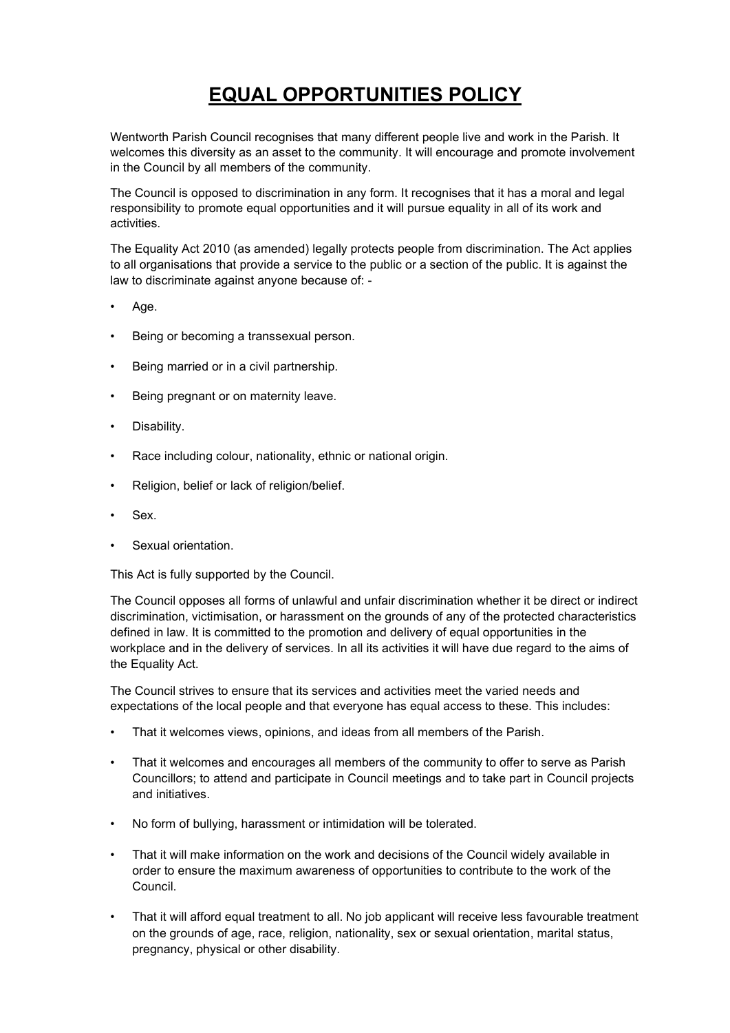## EQUAL OPPORTUNITIES POLICY

Wentworth Parish Council recognises that many different people live and work in the Parish. It welcomes this diversity as an asset to the community. It will encourage and promote involvement in the Council by all members of the community.

The Council is opposed to discrimination in any form. It recognises that it has a moral and legal responsibility to promote equal opportunities and it will pursue equality in all of its work and activities.

The Equality Act 2010 (as amended) legally protects people from discrimination. The Act applies to all organisations that provide a service to the public or a section of the public. It is against the law to discriminate against anyone because of: -

- Age.
- Being or becoming a transsexual person.
- Being married or in a civil partnership.
- Being pregnant or on maternity leave.
- Disability.
- Race including colour, nationality, ethnic or national origin.
- Religion, belief or lack of religion/belief.
- Sex.
- Sexual orientation.

This Act is fully supported by the Council.

The Council opposes all forms of unlawful and unfair discrimination whether it be direct or indirect discrimination, victimisation, or harassment on the grounds of any of the protected characteristics defined in law. It is committed to the promotion and delivery of equal opportunities in the workplace and in the delivery of services. In all its activities it will have due regard to the aims of the Equality Act.

The Council strives to ensure that its services and activities meet the varied needs and expectations of the local people and that everyone has equal access to these. This includes:

- That it welcomes views, opinions, and ideas from all members of the Parish.
- That it welcomes and encourages all members of the community to offer to serve as Parish Councillors; to attend and participate in Council meetings and to take part in Council projects and initiatives.
- No form of bullying, harassment or intimidation will be tolerated.
- That it will make information on the work and decisions of the Council widely available in order to ensure the maximum awareness of opportunities to contribute to the work of the Council.
- That it will afford equal treatment to all. No job applicant will receive less favourable treatment on the grounds of age, race, religion, nationality, sex or sexual orientation, marital status, pregnancy, physical or other disability.